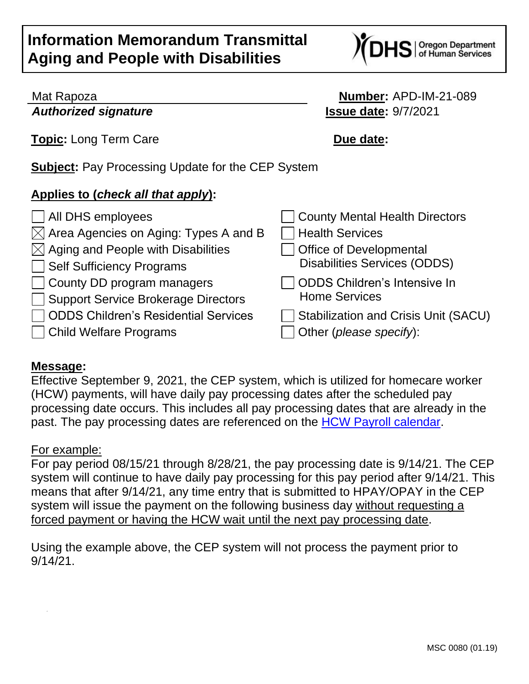# **Information Memorandum Transmittal Aging and People with Disabilities**



#### Mat Rapoza **Number:** APD-IM-21-089 *Authorized signature* **Issue date:** 9/7/2021

S | Oregon Department<br>S | of Human Services

**Topic:** Long Term Care **Due date:** 

**Subject:** Pay Processing Update for the CEP System

## **Applies to (***check all that apply***):**

| $\Box$ All DHS employees                          | □ County Mental Health Directors            |
|---------------------------------------------------|---------------------------------------------|
| $\boxtimes$ Area Agencies on Aging: Types A and B | <b>Health Services</b>                      |
| $\boxtimes$ Aging and People with Disabilities    | <b>Office of Developmental</b>              |
| Self Sufficiency Programs                         | <b>Disabilities Services (ODDS)</b>         |
| County DD program managers                        | ODDS Children's Intensive In                |
| Support Service Brokerage Directors               | <b>Home Services</b>                        |
| ODDS Children's Residential Services              | <b>Stabilization and Crisis Unit (SACU)</b> |
| □ Child Welfare Programs                          | Other (please specify):                     |
|                                                   |                                             |

## **Message:**

Effective September 9, 2021, the CEP system, which is utilized for homecare worker (HCW) payments, will have daily pay processing dates after the scheduled pay processing date occurs. This includes all pay processing dates that are already in the past. The pay processing dates are referenced on the [HCW Payroll calendar.](http://www.dhs.state.or.us/spd/tools/cm/homecare/index.htm)

## For example:

For pay period 08/15/21 through 8/28/21, the pay processing date is 9/14/21. The CEP system will continue to have daily pay processing for this pay period after 9/14/21. This means that after 9/14/21, any time entry that is submitted to HPAY/OPAY in the CEP system will issue the payment on the following business day without requesting a forced payment or having the HCW wait until the next pay processing date.

Using the example above, the CEP system will not process the payment prior to 9/14/21.